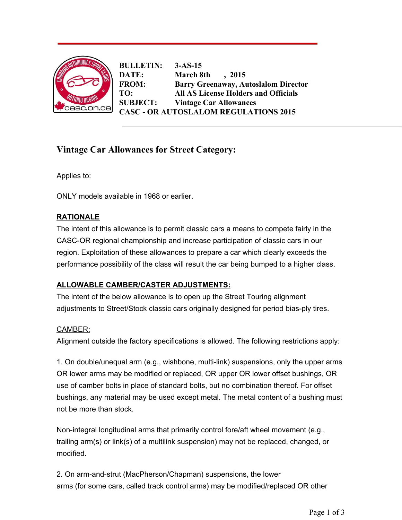

**BULLETIN: 3-AS-15 DATE: March 8th , 2015 FROM: Barry Greenaway, Autoslalom Director TO: All AS License Holders and Officials SUBJECT: Vintage Car Allowances CASC OR AUTOSLALOM REGULATIONS 2015**

# **Vintage Car Allowances for Street Category:**

Applies to:

ONLY models available in 1968 or earlier.

### **RATIONALE**

The intent of this allowance is to permit classic cars a means to compete fairly in the CASC-OR regional championship and increase participation of classic cars in our region. Exploitation of these allowances to prepare a car which clearly exceeds the performance possibility of the class will result the car being bumped to a higher class.

## **ALLOWABLE CAMBER/CASTER ADJUSTMENTS:**

The intent of the below allowance is to open up the Street Touring alignment adjustments to Street/Stock classic cars originally designed for period bias-ply tires.

#### CAMBER:

Alignment outside the factory specifications is allowed. The following restrictions apply:

1. On double/unequal arm (e.g., wishbone, multi-link) suspensions, only the upper arms OR lower arms may be modified or replaced, OR upper OR lower offset bushings, OR use of camber bolts in place of standard bolts, but no combination thereof. For offset bushings, any material may be used except metal. The metal content of a bushing must not be more than stock.

Non-integral longitudinal arms that primarily control fore/aft wheel movement (e.g., trailing arm(s) or link(s) of a multilink suspension) may not be replaced, changed, or modified.

2. On arm-and-strut (MacPherson/Chapman) suspensions, the lower arms (for some cars, called track control arms) may be modified/replaced OR other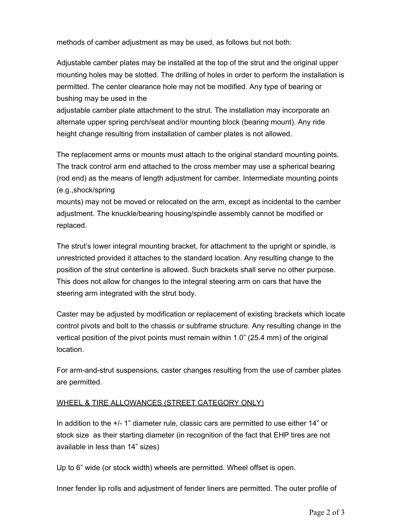methods of camber adjustment as may be used, as follows but not both:

Adjustable camber plates may be installed at the top of the strut and the original upper mounting holes may be slotted. The drilling of holes in order to perform the installation is permitted. The center clearance hole may not be modified. Any type of bearing or bushing may be used in the

adjustable camber plate attachment to the strut. The installation may incorporate an alternate upper spring perch/seat and/or mounting block (bearing mount). Any ride height change resulting from installation of camber plates is not allowed.

The replacement arms or mounts must attach to the original standard mounting points. The track control arm end attached to the cross member may use a spherical bearing (rod end) as the means of length adjustment for camber. Intermediate mounting points (e.g.,shock/spring

mounts) may not be moved or relocated on the arm, except as incidental to the camber adjustment. The knuckle/bearing housing/spindle assembly cannot be modified or replaced.

The strut's lower integral mounting bracket, for attachment to the upright or spindle, is unrestricted provided it attaches to the standard location. Any resulting change to the position of the strut centerline is allowed. Such brackets shall serve no other purpose. This does not allow for changes to the integral steering arm on cars that have the steering arm integrated with the strut body.

Caster may be adjusted by modification or replacement of existing brackets which locate control pivots and bolt to the chassis or subframe structure. Any resulting change in the vertical position of the pivot points must remain within 1.0" (25.4 mm) of the original location.

For arm-and-strut suspensions, caster changes resulting from the use of camber plates are permitted.

#### WHEEL & TIRE ALLOWANCES (STREET CATEGORY ONLY)

In addition to the +/- 1" diameter rule, classic cars are permitted to use either 14" or stock size as their starting diameter (in recognition of the fact that EHP tires are not available in less than 14" sizes)

Up to 6" wide (or stock width) wheels are permitted. Wheel offset is open.

Inner fender lip rolls and adjustment of fender liners are permitted. The outer profile of